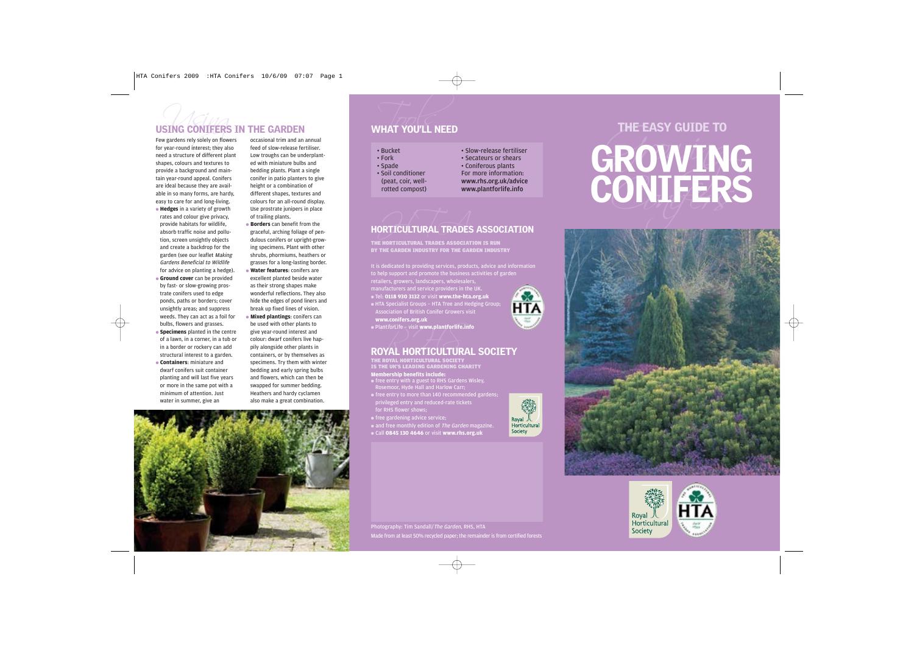shapes, colours and textures to provide a background and maintain year-round appeal. Conifers are ideal because they are available in so many forms, are hardy, easy to care for and long-living. ● **Hedges** in a variety of growth rates and colour give privacy, provide habitats for wildlife, absorb traffic noise and pollution, screen unsightly objects and create a backdrop for the garden (see our leaflet Making Gardens Beneficial to Wildlife for advice on planting a hedge). Few gardens rely solely on flowers occasional trim and an annual

- **Ground cover** can be provided by fast- or slow-growing prostrate conifers used to edge ponds, paths or borders; cover unsightly areas; and suppress weeds. They can act as a foil for bulbs, flowers and grasses.
- **Specimens** planted in the centre of a lawn, in a corner, in a tub or in a border or rockery can add structural interest to a garden. ● **Containers**: miniature and dwarf conifers suit container planting and will last five years or more in the same pot with a minimum of attention. Just water in summer, give an

feed of slow-release fertiliser. Low troughs can be underplanted with miniature bulbs and bedding plants. Plant a single conifer in patio planters to give height or a combination of different shapes, textures and colours for an all-round display. Use prostrate junipers in place of trailing plants.

# ORTICULTURAL TRADES HORTICULTURAL TRADES ASSOCIATION

# www.conifers.org.uk<br><sup>Plant*for*Life - visit www.plantforlife.in<br>ROYAL HORTICULTURA</sup> ROYAL HORTICULTURAL SOCIETY

- **Borders** can benefit from the graceful, arching foliage of pendulous conifers or upright-growing specimens. Plant with other shrubs, phormiums, heathers or grasses for a long-lasting border.
- **Water features**: conifers are excellent planted beside water as their strong shapes make wonderful reflections. They also hide the edges of pond liners and break up fixed lines of vision.
- **Mixed plantings**: conifers can be used with other plants to give year-round interest and colour: dwarf conifers live happily alongside other plants in containers, or by themselves as specimens. Try them with winter bedding and early spring bulbs and flowers, which can then be swapped for summer bedding. Heathers and hardy cyclamen also make a great combination.

- 
- 
- 

Photography: Tim Sandall*/The Garden*, RHS, HTA Made from at least 50% recycled paper; the remainder is from certified forests







 $\oplus$ 









- It is dedicated to providing services, products, advice and information to help support and promote the business activities of garden
- retailers, growers, landscapers, wholesalers,
- manufacturers and service providers in the UK. ● Tel: **0118 930 3132** or visit **www.the-hta.org.uk**
- HTA Specialist Groups HTA Tree and Hedging Group; Association of British Conifer Growers visit
- 
- PlantforLife visit **www.plantforlife.info**

- **Membership benefits include:**  THE ROYAL HORTICULTURAL SOCIETY<br>IS THE UK'S LEADING GARDENING CHARITY
- free entry with a guest to RHS Gardens Wisley, Rosemoor, Hyde Hall and Harlow Carr;
- free entry to more than 140 recommended gardens; privileged entry and reduced-rate tickets
- free gardening advice service;
- and free monthly edition of *The Garden* magazine.
- Call **0845 130 4646** or visit **www.rhs.org.uk**



65 **HTA** 

THE HORTICULTURAL TRADES ASSOCIATION IS RUN BY THE GARDEN INDUSTRY FOR THE GARDEN INDUSTRY

# USING CONIFERS IN THE GARDEN<br>
Few gardens rely solely on flowers occasional trim and an annual<br>
for year-round interest; they also feed of slow-release fertiliser.<br>
Reed a structure of different plant Low troughs can be un